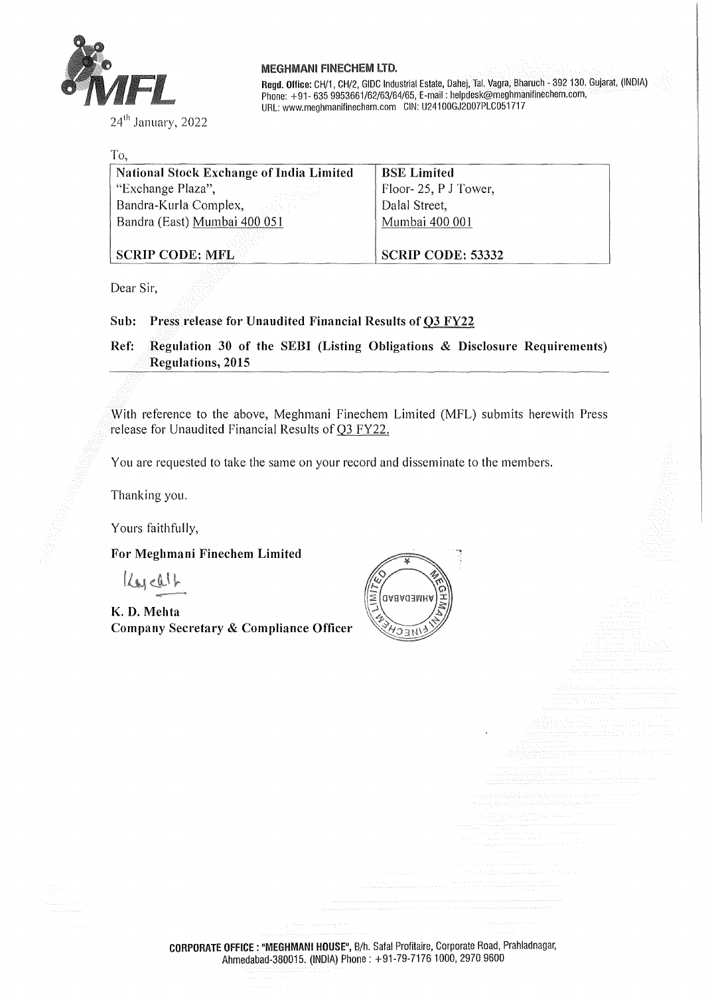

24<sup>th</sup> January, 2022

#### MEGHMANI FINECHEM LTD.

**Regd. Ollice:** CH/1, CH/2, GIDC Industrial Estate, Dahej, Tai. Vagra, Bharuch - 392 130. Gujarat, (INDIA) Phone: +91- 635 9953661/62/63/64/65, E-mail: helpdesk@meghmanifinechem.com, URL: www.meghmanilinechem.com GIN: U24100GJ2007PLC051717

| To,                                             |                          |
|-------------------------------------------------|--------------------------|
| <b>National Stock Exchange of India Limited</b> | <b>BSE Limited</b>       |
| "Exchange Plaza",                               | Floor-25, PJ Tower,      |
| Bandra-Kurla Complex,                           | Dalal Street,            |
| Bandra (East) Mumbai 400 051                    | Mumbai 400 001           |
|                                                 |                          |
| <b>SCRIP CODE: MFLEE</b>                        | <b>SCRIP CODE: 53332</b> |

Dear Sir,

#### **Sub: Press release for Unaudited Financial Results of 03 FY22**

**Ref: Regulation 30 of the SEBI (Listing Obligations** & **Disclosure Requirements) Regulations, 2015** 

With reference to the above, Meghmani Finechem Limited (MFL) submits herewith Press release for Unaudited Financial Results of Q3 FY22.

You are requested to take the same on your record and disseminate to the members.

Thanking you.

Yours faithfully,

**For Meghmani Finechem Limited** 

 $k$ 

**K. D. Mehta Company Secretary** & **Compliance Officer** 



**CORPORATE OFFICE** : **"MEGHMANI HOUSE",** 8/h. Safa! Profitaire, Corporate Road, Prahladnagar, Ahmedabad-380015. (INDIA) Phone: +91-79-71761000, 2970 9600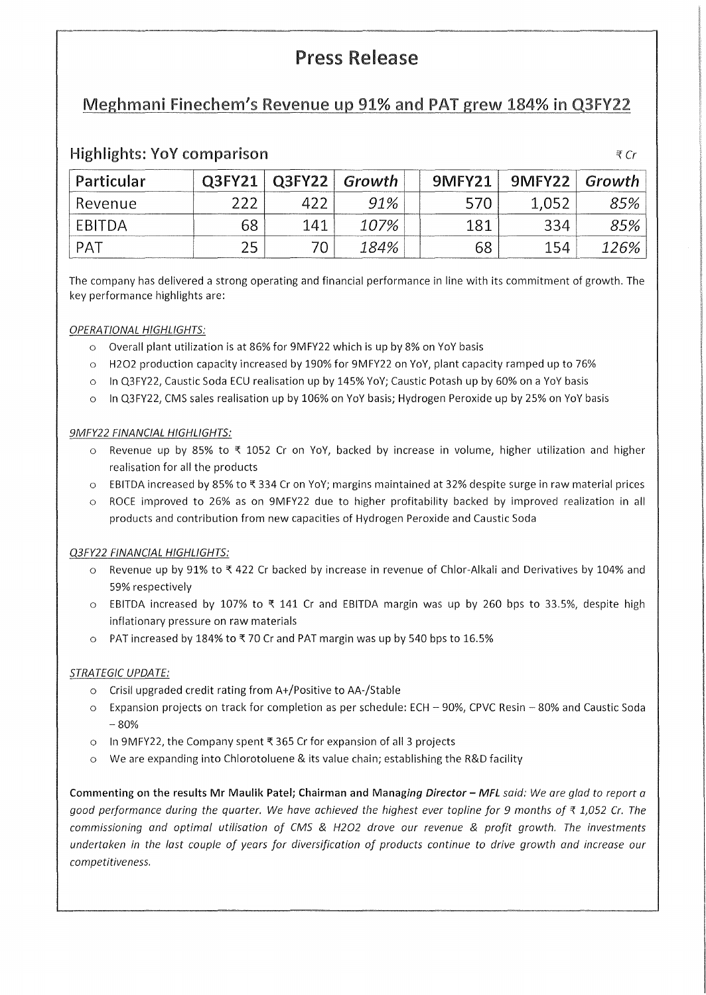# Press Release

## Meghmani Finechem's Revenue up 91% and PAT grew 184% in Q3FY22

| Particular | Q3FY21 | Q3FY22 | Growth <b>Canada</b> | 9MFY21 | $9$ MFY22 | Growth |
|------------|--------|--------|----------------------|--------|-----------|--------|
| Revenue    |        |        | 91%                  |        |           | 85%    |
| EBITDA     | 68     | 141    | 107%                 | 181    | 334       | 85%    |
| PAT        |        |        | 184%                 | 68     | 154       | 126%   |

### Highlights: YoY comparison  $\forall$  Cr

The company has delivered a strong operating and financial performance in line with its commitment of growth. The key performance highlights are:

#### OPERATIONAL HIGHLIGHTS:

- o Overall plant utilization is at 86% for 9MFY22 which is up by 8% on YoY basis
- o H2O2 production capacity increased by 190% for 9MFY22 on YoY, plant capacity ramped up to 76%
- o In Q3FY22, Caustic Soda ECU realisation up by 145% YoY; Caustic Potash up by 60% on a YoY basis
- o In Q3FY22, CMS sales realisation up by 106% on YoY basis; Hydrogen Peroxide up by 25% on YoY basis

#### 9MFY22 FINANCIAL HIGHLIGHTS:

- $\circ$  Revenue up by 85% to  $\xi$  1052 Cr on YoY, backed by increase in volume, higher utilization and higher realisation for all the products
- $\circ$  EBITDA increased by 85% to \\times 334 Cr on YoY; margins maintained at 32% despite surge in raw material prices
- o ROCE improved to 26% as on 9MFY22 due to higher profitability backed by improved realization in all products and contribution from new capacities of Hydrogen Peroxide and Caustic Soda

#### Q3FY22 FINANCIAL HIGHLIGHTS:

- o Revenue up by 91% to'\ 422 Cr backed by increase in revenue of Chlor-Alkali and Derivatives by 104% and 59% respectively
- $\circ$  EBITDA increased by 107% to  $\overline{x}$  141 Cr and EBITDA margin was up by 260 bps to 33.5%, despite high inflationary pressure on raw materials
- o PAT increased by 184% to'\ 70 Cr and PAT margin was up by 540 bps to 16.5%

#### STRATEGIC UPDATE:

- o Crisil upgraded credit rating from A+/Positive to AA-/Stable
- o Expansion projects on track for completion as per schedule: ECH 90%, CPVC Resin 80% and Caustic Soda  $-80%$
- o In 9MFY22, the Company spent'\ 365 Cr for expansion of all 3 projects
- o We are expanding into Chlorotoluene & its value chain; establishing the R&D facility

**Commenting on the results Mr Maulik Patel; Chairman and Managing** *Director* - *MFL* said: We are glad to report a good performance during the quarter. We have achieved the highest ever topline for 9 months of  $\bar{\tau}$  1,052 Cr. The commissioning and optimal utilisation of CMS & H2O2 drove our revenue & profit growth. The investments undertaken in the last couple of years for diversification of products continue to drive growth and increase our competitiveness.